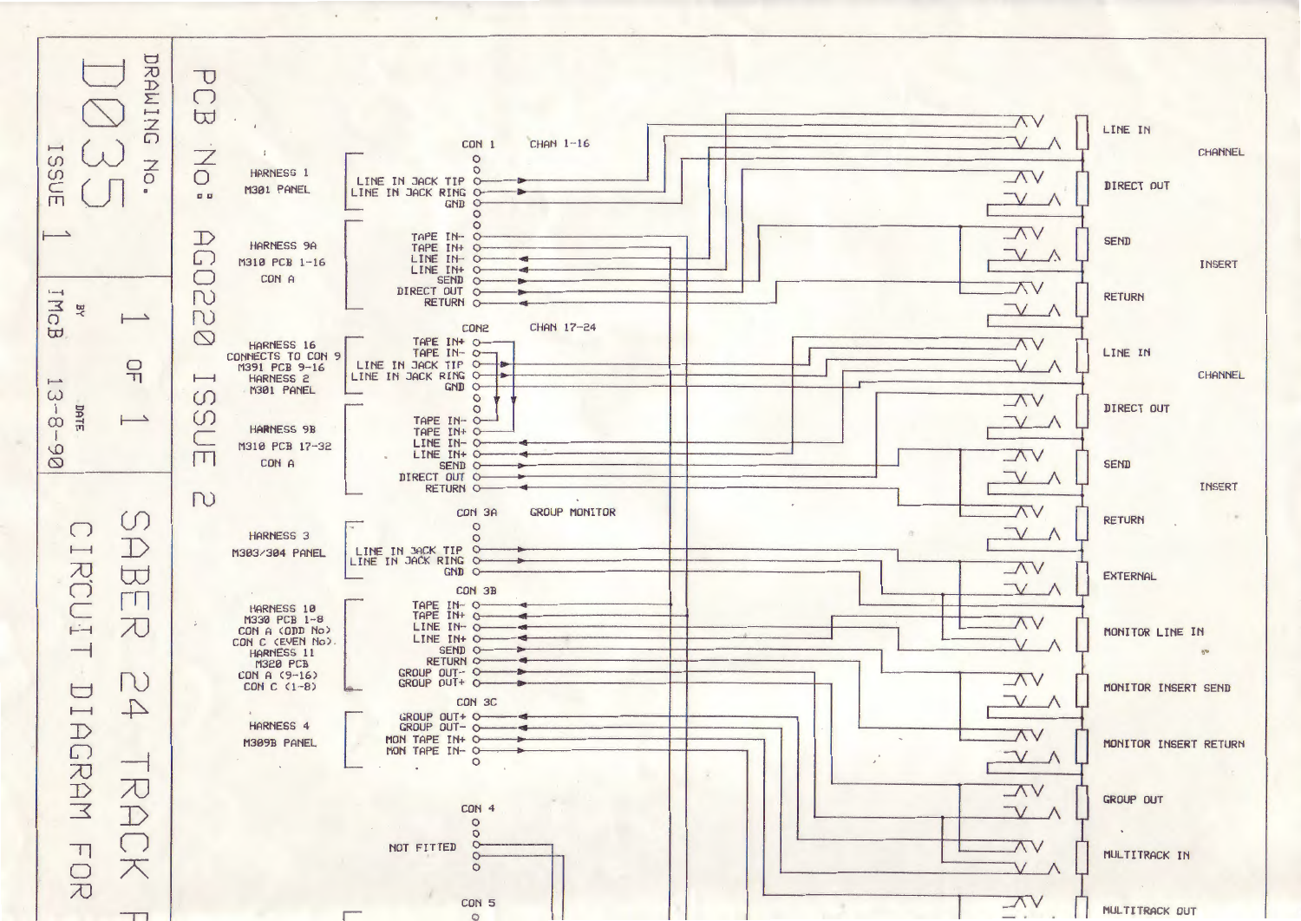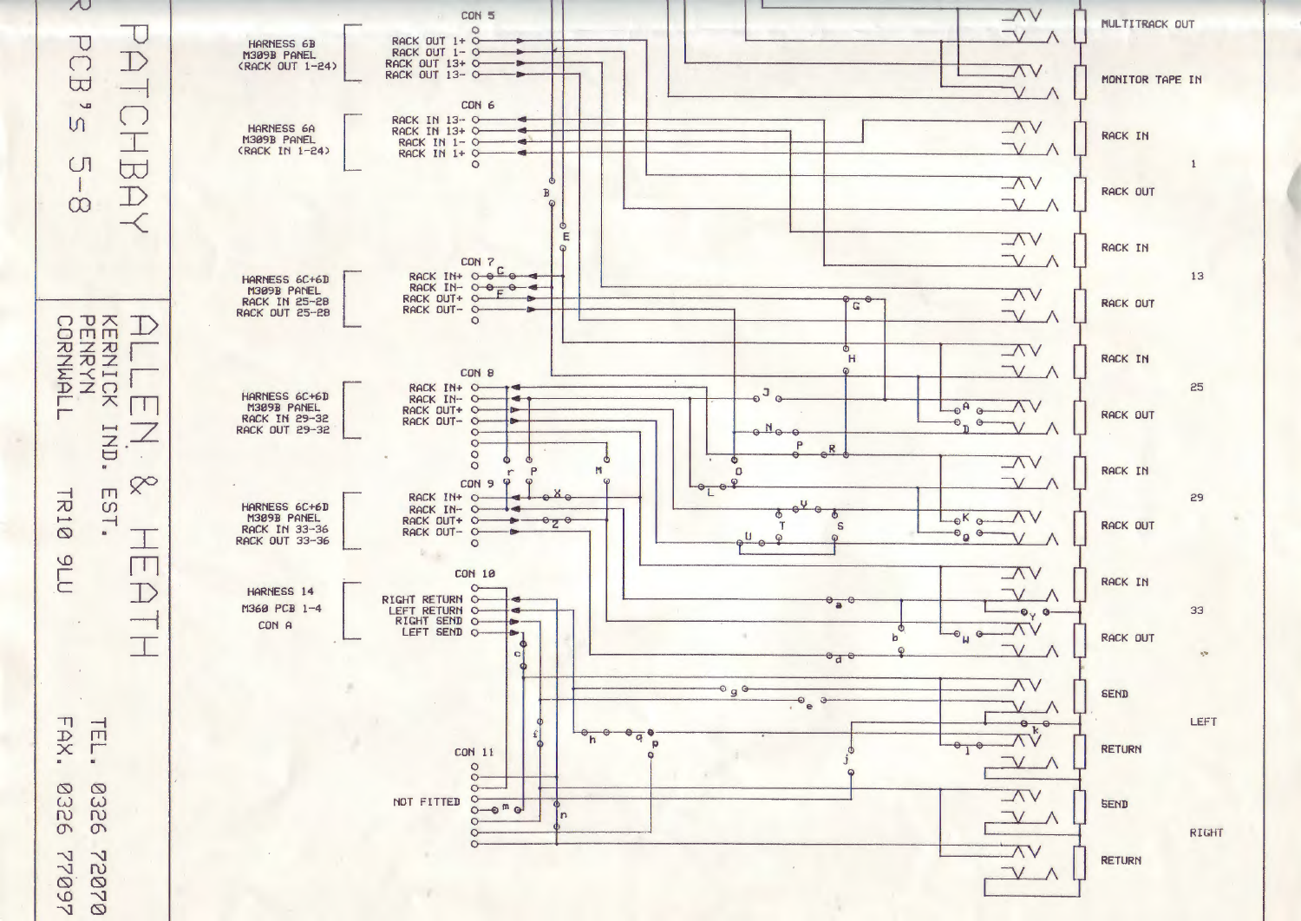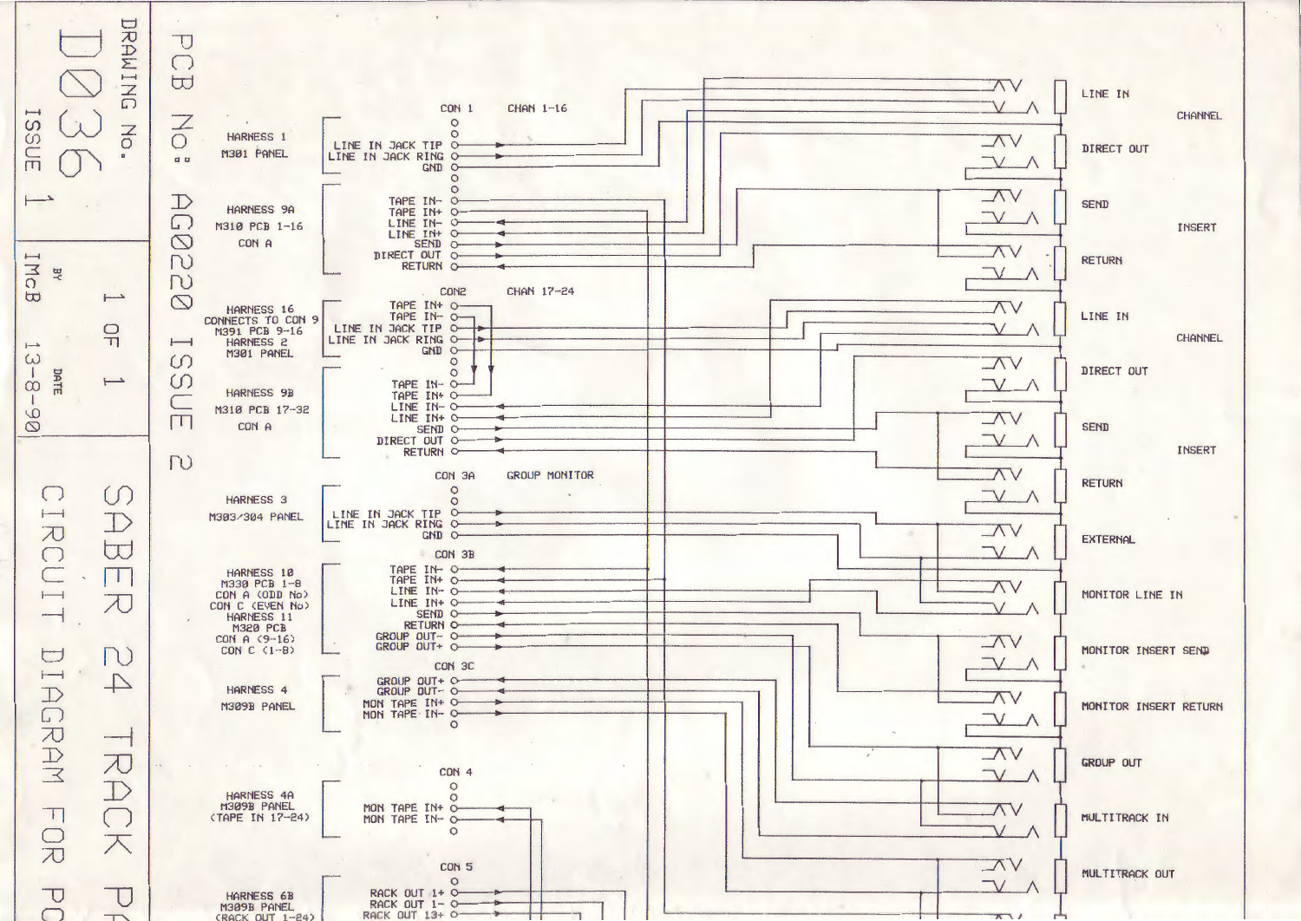